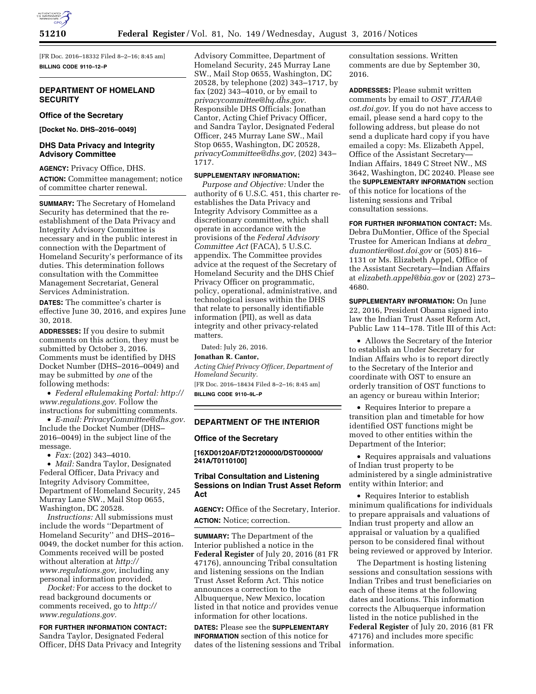

[FR Doc. 2016–18332 Filed 8–2–16; 8:45 am] **BILLING CODE 9110–12–P** 

# **DEPARTMENT OF HOMELAND SECURITY**

## **Office of the Secretary**

**[Docket No. DHS–2016–0049]** 

# **DHS Data Privacy and Integrity Advisory Committee**

### **AGENCY:** Privacy Office, DHS.

**ACTION:** Committee management; notice of committee charter renewal.

**SUMMARY:** The Secretary of Homeland Security has determined that the reestablishment of the Data Privacy and Integrity Advisory Committee is necessary and in the public interest in connection with the Department of Homeland Security's performance of its duties. This determination follows consultation with the Committee Management Secretariat, General Services Administration.

**DATES:** The committee's charter is effective June 30, 2016, and expires June 30, 2018.

**ADDRESSES:** If you desire to submit comments on this action, they must be submitted by October 3, 2016. Comments must be identified by DHS Docket Number (DHS–2016–0049) and may be submitted by *one* of the following methods:

• *Federal eRulemaking Portal: [http://](http://www.regulations.gov)  [www.regulations.gov.](http://www.regulations.gov)* Follow the instructions for submitting comments.

• *E-mail: [PrivacyCommittee@dhs.gov.](mailto:PrivacyCommittee@dhs.gov)*  Include the Docket Number (DHS– 2016–0049) in the subject line of the message.

• *Fax:* (202) 343–4010.

• *Mail:* Sandra Taylor, Designated Federal Officer, Data Privacy and Integrity Advisory Committee, Department of Homeland Security, 245 Murray Lane SW., Mail Stop 0655, Washington, DC 20528.

*Instructions:* All submissions must include the words ''Department of Homeland Security'' and DHS–2016– 0049, the docket number for this action. Comments received will be posted without alteration at *[http://](http://www.regulations.gov) [www.regulations.gov,](http://www.regulations.gov)* including any personal information provided.

*Docket:* For access to the docket to read background documents or comments received, go to *[http://](http://www.regulations.gov) [www.regulations.gov.](http://www.regulations.gov)* 

**FOR FURTHER INFORMATION CONTACT:**  Sandra Taylor, Designated Federal Officer, DHS Data Privacy and Integrity Advisory Committee, Department of Homeland Security, 245 Murray Lane SW., Mail Stop 0655, Washington, DC 20528, by telephone (202) 343–1717, by fax (202) 343–4010, or by email to *[privacycommittee@hq.dhs.gov.](mailto:privacycommittee@hq.dhs.gov)*  Responsible DHS Officials: Jonathan Cantor, Acting Chief Privacy Officer, and Sandra Taylor, Designated Federal Officer, 245 Murray Lane SW., Mail Stop 0655, Washington, DC 20528, *[privacyCommittee@dhs.gov,](mailto:privacyCommittee@dhs.gov)* (202) 343– 1717.

## **SUPPLEMENTARY INFORMATION:**

*Purpose and Objective:* Under the authority of 6 U.S.C. 451, this charter reestablishes the Data Privacy and Integrity Advisory Committee as a discretionary committee, which shall operate in accordance with the provisions of the *Federal Advisory Committee Act* (FACA), 5 U.S.C. appendix. The Committee provides advice at the request of the Secretary of Homeland Security and the DHS Chief Privacy Officer on programmatic, policy, operational, administrative, and technological issues within the DHS that relate to personally identifiable information (PII), as well as data integrity and other privacy-related matters.

Dated: July 26, 2016. **Jonathan R. Cantor,**  *Acting Chief Privacy Officer, Department of Homeland Security.*  [FR Doc. 2016–18434 Filed 8–2–16; 8:45 am] **BILLING CODE 9110–9L–P** 

## **DEPARTMENT OF THE INTERIOR**

## **Office of the Secretary**

**[16XD0120AF/DT21200000/DST000000/ 241A/T0110100]** 

# **Tribal Consultation and Listening Sessions on Indian Trust Asset Reform Act**

**AGENCY:** Office of the Secretary, Interior. **ACTION:** Notice; correction.

**SUMMARY:** The Department of the Interior published a notice in the **Federal Register** of July 20, 2016 (81 FR 47176), announcing Tribal consultation and listening sessions on the Indian Trust Asset Reform Act. This notice announces a correction to the Albuquerque, New Mexico, location listed in that notice and provides venue information for other locations.

**DATES:** Please see the **SUPPLEMENTARY INFORMATION** section of this notice for dates of the listening sessions and Tribal consultation sessions. Written comments are due by September 30, 2016.

**ADDRESSES:** Please submit written comments by email to *OST*\_*[ITARA@](mailto:OST_ITARA@ost.doi.gov) [ost.doi.gov.](mailto:OST_ITARA@ost.doi.gov)* If you do not have access to email, please send a hard copy to the following address, but please do not send a duplicate hard copy if you have emailed a copy: Ms. Elizabeth Appel, Office of the Assistant Secretary— Indian Affairs, 1849 C Street NW., MS 3642, Washington, DC 20240. Please see the **SUPPLEMENTARY INFORMATION** section of this notice for locations of the listening sessions and Tribal consultation sessions.

**FOR FURTHER INFORMATION CONTACT:** Ms. Debra DuMontier, Office of the Special Trustee for American Indians at *[debra](mailto:debra_dumontier@ost.doi.gov)*\_ *[dumontier@ost.doi.gov](mailto:debra_dumontier@ost.doi.gov)* or (505) 816– 1131 or Ms. Elizabeth Appel, Office of the Assistant Secretary—Indian Affairs at *[elizabeth.appel@bia.gov](mailto:elizabeth.appel@bia.gov)* or (202) 273– 4680.

**SUPPLEMENTARY INFORMATION:** On June 22, 2016, President Obama signed into law the Indian Trust Asset Reform Act, Public Law 114–178. Title III of this Act:

• Allows the Secretary of the Interior to establish an Under Secretary for Indian Affairs who is to report directly to the Secretary of the Interior and coordinate with OST to ensure an orderly transition of OST functions to an agency or bureau within Interior;

• Requires Interior to prepare a transition plan and timetable for how identified OST functions might be moved to other entities within the Department of the Interior;

• Requires appraisals and valuations of Indian trust property to be administered by a single administrative entity within Interior; and

• Requires Interior to establish minimum qualifications for individuals to prepare appraisals and valuations of Indian trust property and allow an appraisal or valuation by a qualified person to be considered final without being reviewed or approved by Interior.

The Department is hosting listening sessions and consultation sessions with Indian Tribes and trust beneficiaries on each of these items at the following dates and locations. This information corrects the Albuquerque information listed in the notice published in the **Federal Register** of July 20, 2016 (81 FR 47176) and includes more specific information.